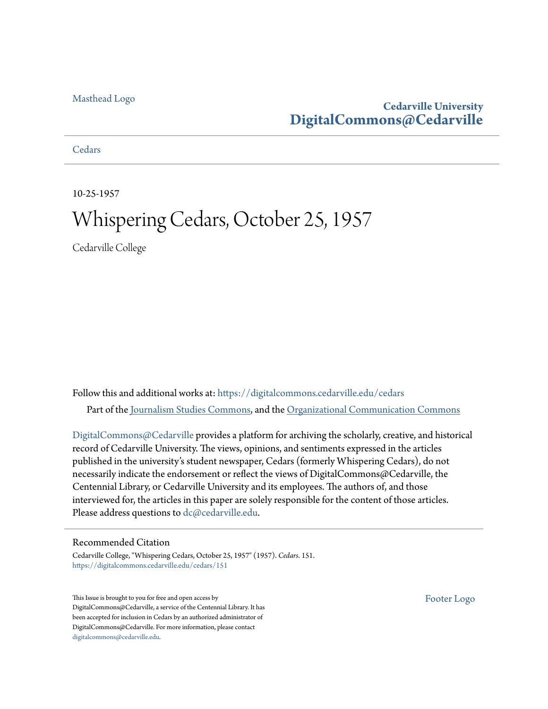#### [Masthead Logo](http://www.cedarville.edu/?utm_source=digitalcommons.cedarville.edu%2Fcedars%2F151&utm_medium=PDF&utm_campaign=PDFCoverPages)

### **Cedarville University [DigitalCommons@Cedarville](https://digitalcommons.cedarville.edu?utm_source=digitalcommons.cedarville.edu%2Fcedars%2F151&utm_medium=PDF&utm_campaign=PDFCoverPages)**

**[Cedars](https://digitalcommons.cedarville.edu/cedars?utm_source=digitalcommons.cedarville.edu%2Fcedars%2F151&utm_medium=PDF&utm_campaign=PDFCoverPages)** 

10-25-1957

## Whispering Cedars, October 25, 1957

Cedarville College

Follow this and additional works at: [https://digitalcommons.cedarville.edu/cedars](https://digitalcommons.cedarville.edu/cedars?utm_source=digitalcommons.cedarville.edu%2Fcedars%2F151&utm_medium=PDF&utm_campaign=PDFCoverPages) Part of the [Journalism Studies Commons](http://network.bepress.com/hgg/discipline/333?utm_source=digitalcommons.cedarville.edu%2Fcedars%2F151&utm_medium=PDF&utm_campaign=PDFCoverPages), and the [Organizational Communication Commons](http://network.bepress.com/hgg/discipline/335?utm_source=digitalcommons.cedarville.edu%2Fcedars%2F151&utm_medium=PDF&utm_campaign=PDFCoverPages)

[DigitalCommons@Cedarville](http://digitalcommons.cedarville.edu/) provides a platform for archiving the scholarly, creative, and historical record of Cedarville University. The views, opinions, and sentiments expressed in the articles published in the university's student newspaper, Cedars (formerly Whispering Cedars), do not necessarily indicate the endorsement or reflect the views of DigitalCommons@Cedarville, the Centennial Library, or Cedarville University and its employees. The authors of, and those interviewed for, the articles in this paper are solely responsible for the content of those articles. Please address questions to [dc@cedarville.edu.](mailto:dc@cedarville.edu)

#### Recommended Citation

Cedarville College, "Whispering Cedars, October 25, 1957" (1957). *Cedars*. 151. [https://digitalcommons.cedarville.edu/cedars/151](https://digitalcommons.cedarville.edu/cedars/151?utm_source=digitalcommons.cedarville.edu%2Fcedars%2F151&utm_medium=PDF&utm_campaign=PDFCoverPages)

This Issue is brought to you for free and open access by DigitalCommons@Cedarville, a service of the Centennial Library. It has been accepted for inclusion in Cedars by an authorized administrator of DigitalCommons@Cedarville. For more information, please contact [digitalcommons@cedarville.edu](mailto:digitalcommons@cedarville.edu).

[Footer Logo](http://www.cedarville.edu/Academics/Library.aspx?utm_source=digitalcommons.cedarville.edu%2Fcedars%2F151&utm_medium=PDF&utm_campaign=PDFCoverPages)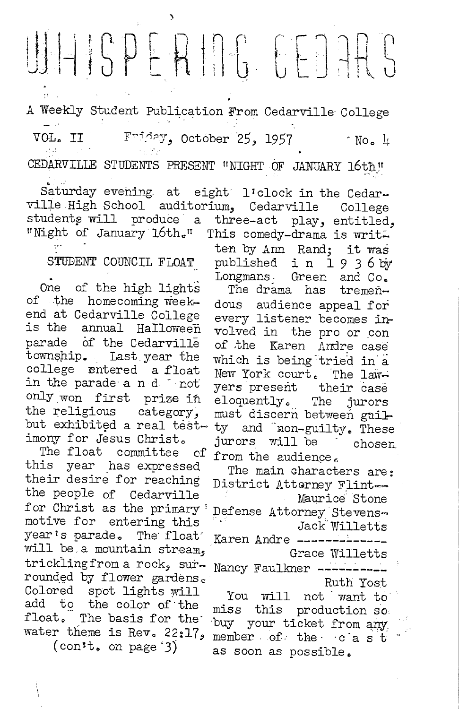# $\begin{picture}(120,140) \put(0,0){\line(1,0){10}} \put(15,0){\line(1,0){10}} \put(15,0){\line(1,0){10}} \put(15,0){\line(1,0){10}} \put(15,0){\line(1,0){10}} \put(15,0){\line(1,0){10}} \put(15,0){\line(1,0){10}} \put(15,0){\line(1,0){10}} \put(15,0){\line(1,0){10}} \put(15,0){\line(1,0){10}} \put(15,0){\line(1,0){10}} \put(15,0){\line$

A Weekly Student Publication From Cedarville College Friday, October 25, 1957 VOL. II  $^{\circ}$  No. 4  $\mathcal{F}$  and CEDARVILLE STUDENTS PRESENT "NIGHT OF JANUARY 16th,"

Saturday evening at eight l'clock in the Cedarville High School auditorium, Cedarville College students will produce a three-act play, entitled, "Night of January 16th." This comedy-drama is writ-

#### STUDENT COUNCIL FLOAT

One of the high lights of the homecoming weekend at Cedarville College is the annual Halloween parade of the Cedarville township. Last year the college entered a float in the parade a n d not only won first prize in the religious category, but exhibited a real testimony for Jesus Christ.

The float committee of this year has expressed their desire for reaching the people of Cedarville for Christ as the primary motive for entering this year's parade. The float will be a mountain stream, trickling from a rock, surrounded by flower gardens. Colored spot lights will add to the color of the float. The basis for the water theme is Rev. 22:17.  $\text{(conft, on page 3)}$ 

published in 1936 by Longmans Green and Co. The drama has tremendous audience appeal for every listener becomes involved in the pro or con of the Karen Andre case which is being tried in a New York court. The lawyers present their case eloquently. The jurors must discern between guilty and non-guilty. These jurors will be chosen from the audience.

ten by Ann Rand; it was

The main characters are: District Atterney Flint --Maurice Stone Defense Attorney Stevens-<br>Jack Willetts Karen Andre -------Grace Willetts Nancy Faulkner ----Ruth Yost You will not want to miss this production so

buy your ticket from any member of the cast as soon as possible.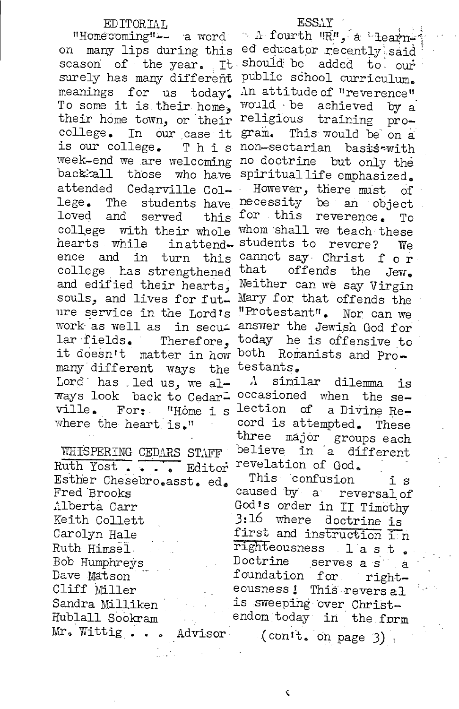#### EDITORIAI,

"Homecoming" -- a word on many lips during this surely has many different meanings for us today. To some it is their home, their home town, or their college. In our case it is our college. This week-end we are welcoming back:all those who have attended Cedarville Col $lege.$ The students have loved and served this college with their whole hearts while ence and in turn this college has strengthened that offends the Jew. and edified their hearts, souls, and lives for future service in the Lord's work as well as in secular fields. Therefore. it doesn't matter in how many different ways the Lord has led us, we always look back to Cedarville.  $\texttt{For:}$ "Home i s where the heart is."

WHISPERING CEDARS STAFF Ruth Yost... -<br>Fiditor Esther Chesebro.asst. ed. Fred Brooks Alberta Carr Keith Collett Carolyn Hale Ruth Himsel. Bob Humphreys Dave Matson Cliff Miller Sandra Milliken Hublall Sookram Mr. Wittig . . . Advisor

 $\sim \Lambda$  fourth  $\mathbb{R}^n$ , a learned educator recently said season of the year. It should be added to our public school curriculum. An attitude of "reverence" would be achieved by a religious training program. This would be on a non-sectarian basis-with no doctrine but only the spiritual life emphasized. However, there must of necessity be an object for this reverence. To whom shall we teach these inattend-students to revere? We cannot say Christ for Neither can we say Virgin Mary for that offends the "Protestant". Nor can we answer the Jewish God for today he is offensive to both Romanists and Protestants.

> A similar dilemma is occasioned when the selection of a Divine Record is attempted. These three major groups each<br>believe in a different revelation of God.

This confusion is caused by a reversal of God's order in II Timothy 3:16 where doctrine is first and instruction in righteousness last. Doctrine serves a s a foundation for righteousness! This revers al is sweeping over Christendom today in the form (con't. on page 3)

¢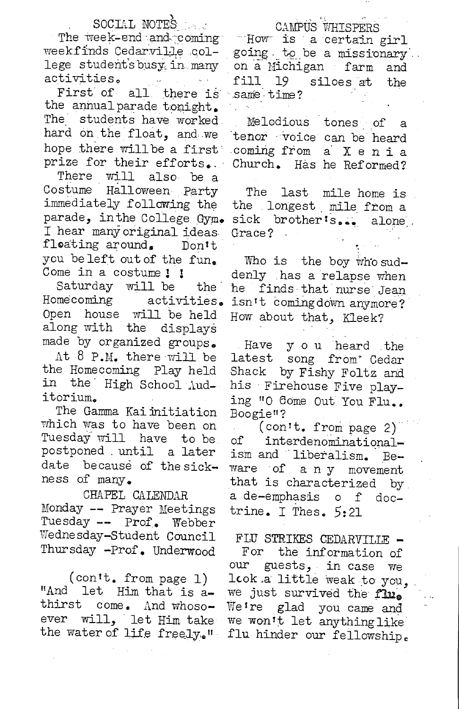#### SOCIAL NOTES

The week-end and coming weekfinds Cedarville college studentsbusy in many activities.

First of all there is same time? the annual parade tonight. The students have worked. hard on the float, and we hope there will be a first prize for their efforts.

There will also be a Costume Halloween Party immediately following the parade, in the College Gym. I hear many original ideas floating around. Don't you beleft out of the fun. Come in a costume! !

Saturday will be the <sup>1</sup> Homecoming activities. Open house will be held along with the displays made by organized groups.

At 8 P.M. there will be the Homecoming Play held in the High School Auditorium.

The Gamma Kai initiation which was to have been on Tuesday will have to be postponed until a later date because of the sickness of many.

CHAPEL CALENDAR Monday -- Prayer Meetings Tuesday -- Prof. Webber Wednesday-Student Council Thursday -Prof. Underwood

 $(conit, from page 1)$ "And let Him that is athirst come. And whosoever will. let Him take the water of life freely." CAMPUS WHISPERS

"How is a certain girl going to be a missionary. on a Michigan farm and fill 19 siloes at the

Melodious tones of a tenor voice can be heard coming from a Xenia Church. Has he Reformed?

The last mile home is the longest mile from a sick brother's... alone. Grace?

Who is the boy who suddenly has a relapse when he finds that nurse Jean isn't comingdown anymore? How about that, Kleek?

y ou heard the Have latest song from Cedar Shack by Fishy Foltz and his Firehouse Five playing "O Come Out You Flu.. Boogie"?

 $\frac{\text{conn}}{\text{cm}}$  from page 2) interdenominationalоf ism and liberalism.  $Be$ ware of a n y movement that is characterized by a de-emphasis of doctrine. I Thes. 5:21

FLU STRIKES CEDARVILLE -For the information of guests, in case we our look a little weak to you, we just survived the flu. We're glad you came and we won't let anything like flu hinder our fellowship.